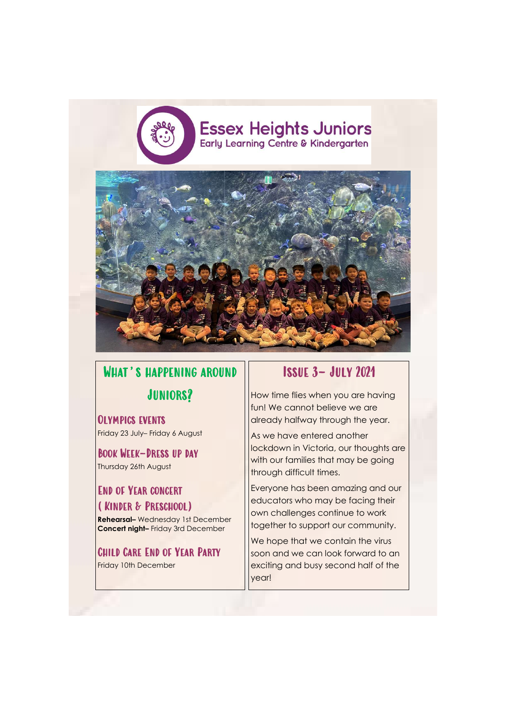

# WHAT'S HAPPENING AROUND JUNIORS?

Olympics events Friday 23 July– Friday 6 August

Book Week—Dress up day Thursday 26th August

### End of Year concert (Kinder & Preschool)

As we have entered another lockdown in Victoria, our thoughts are with our families that may be going through difficult times.

**Rehearsal–** Wednesday 1st December **Concert night–** Friday 3rd December

## Child Care End of Year Party

Friday 10th December

## Issue 3– July 2021

How time flies when you are having fun! We cannot believe we are already halfway through the year.

We hope that we contain the virus soon and we can look forward to an exciting and busy second half of the year!

Everyone has been amazing and our educators who may be facing their own challenges continue to work together to support our community.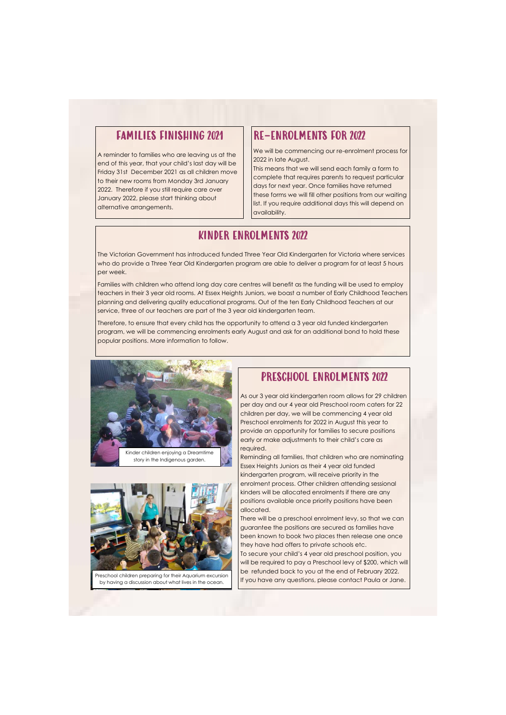#### FAMILIES FINISHING 2021

A reminder to families who are leaving us at the end of this year, that your child's last day will be Friday 31st December 2021 as all children move to their new rooms from Monday 3rd January 2022. Therefore if you still require care over January 2022, please start thinking about alternative arrangements.

#### RE-ENROLMENTS FOR 2022

We will be commencing our re-enrolment process for 2022 in late August.

This means that we will send each family a form to complete that requires parents to request particular days for next year. Once families have returned these forms we will fill other positions from our waiting list. If you require additional days this will depend on availability.

#### PRESCHOOL ENROLMENTS 2022

As our 3 year old kindergarten room allows for 29 children per day and our 4 year old Preschool room caters for 22 children per day, we will be commencing 4 year old Preschool enrolments for 2022 in August this year to provide an opportunity for families to secure positions early or make adjustments to their child's care as required.

Reminding all families, that children who are nominating Essex Heights Juniors as their 4 year old funded kindergarten program, will receive priority in the enrolment process. Other children attending sessional kinders will be allocated enrolments if there are any positions available once priority positions have been allocated.

There will be a preschool enrolment levy, so that we can guarantee the positions are secured as families have been known to book two places then release one once they have had offers to private schools etc. To secure your child's 4 year old preschool position, you will be required to pay a Preschool levy of \$200, which will be refunded back to you at the end of February 2022. If you have any questions, please contact Paula or Jane.

### KINDER ENROLMENTS 2022

The Victorian Government has introduced funded Three Year Old Kindergarten for Victoria where services who do provide a Three Year Old Kindergarten program are able to deliver a program for at least 5 hours per week.

Families with children who attend long day care centres will benefit as the funding will be used to employ teachers in their 3 year old rooms. At Essex Heights Juniors, we boast a number of Early Childhood Teachers planning and delivering quality educational programs. Out of the ten Early Childhood Teachers at our service, three of our teachers are part of the 3 year old kindergarten team.

Therefore, to ensure that every child has the opportunity to attend a 3 year old funded kindergarten program, we will be commencing enrolments early August and ask for an additional bond to hold these popular positions. More information to follow.





Preschool children preparing for their Aquarium excursion by having a discussion about what lives in the ocean.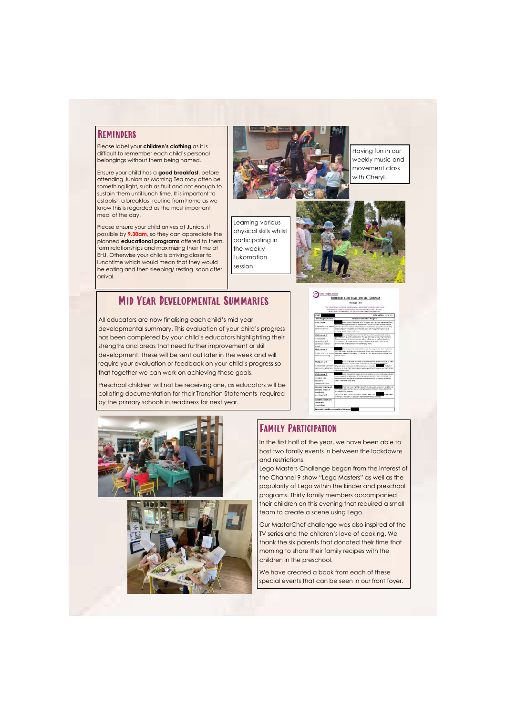#### **REMINDERS**

Please label your **children's clothing** as it is difficult to remember each child's personal belongings without them being named.

Ensure your child has a **good breakfast**, before attending Juniors as Morning Tea may often be something light, such as fruit and not enough to sustain them until lunch time. It is important to establish a breakfast routine from home as we know this is regarded as the most important meal of the day.

> In the first half of the year, we have been able to host two family events in between the lockdowns and restrictions.

Please ensure your child arrives at Juniors, if possible by **9.30am**, so they can appreciate the planned **educational programs** offered to them, form relationships and maximizing their time at EHJ. Otherwise your child is arriving closer to lunchtime which would mean that they would be eating and then sleeping/ resting soon after arrival.



#### Family Participation

Lego Masters Challenge began from the interest of the Channel 9 show "Lego Masters" as well as the popularity of Lego within the kinder and preschool programs. Thirty family members accompanied their children on this evening that required a small team to create a scene using Lego.

Our MasterChef challenge was also inspired of the TV series and the children's love of cooking. We

thank the six parents that donated their time that morning to share their family recipes with the children in the preschool.

We have created a book from each of these special events that can be seen in our front foyer.

#### Mid Year Developmental Summaries

All educators are now finalising each child's mid year developmental summary. This evaluation of your child's progress has been completed by your child's educators highlighting their strengths and areas that need further improvement or skill development. These will be sent out later in the week and will require your evaluation or feedback on your child's progress so that together we can work on achieving these goals.

Preschool children will not be receiving one, as educators will be collating documentation for their Transition Statements required by the primary schools in readiness for next year.







Having fun in our weekly music and movement class with Cheryl.



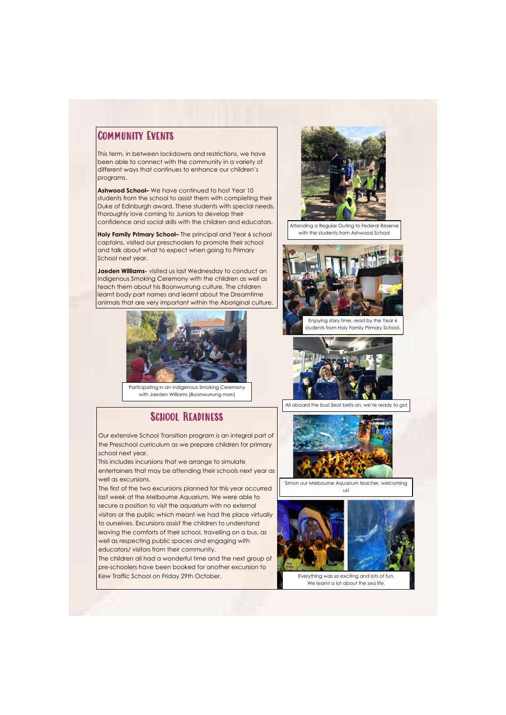### Community Events

This term, in between lockdowns and restrictions, we have been able to connect with the community in a variety of different ways that continues to enhance our children's programs.

**Ashwood School–** We have continued to host Year 10 students from the school to assist them with completing their Duke of Edinburgh award. These students with special needs, thoroughly love coming to Juniors to develop their confidence and social skills with the children and educators.

**Holy Family Primary School–** The principal and Year 6 school captains, visited our preschoolers to promote their school and talk about what to expect when going to Primary School next year.

**Jaeden Williams-** visited us last Wednesday to conduct an Indigenous Smoking Ceremony with the children as well as teach them about his Boonwurrung culture. The children learnt body part names and learnt about the Dreamtime animals that are very important within the Aboriginal culture.

Our extensive School Transition program is an integral part of the Preschool curriculum as we prepare children for primary school next year.

This includes incursions that we arrange to simulate entertainers that may be attending their schools next year as well as excursions.

The first of the two excursions planned for this year occurred last week at the Melbourne Aquarium. We were able to secure a position to visit the aquarium with no external visitors or the public which meant we had the place virtually to ourselves. Excursions assist the children to understand leaving the comforts of their school, travelling on a bus, as well as respecting public spaces and engaging with educators/ visitors from their community. The children all had a wonderful time and the next group of pre-schoolers have been booked for another excursion to Kew Traffic School on Friday 29th October.



Attending a Regular Outing to Federal Reserve with the students from Ashwood School



Enjoying story time, read by the Year 6 students from Holy Family Primary School.



Participating in an Indigenous Smoking Ceremony with Jaeden Williams (Boonwurrung man)

#### SCHOOL READINESS



All aboard the bus! Seat belts on, we're ready to go!



Simon our Melbourne Aquarium teacher, welcoming us!



Everything was so exciting and lots of fun. We learnt a lot about the sea life.